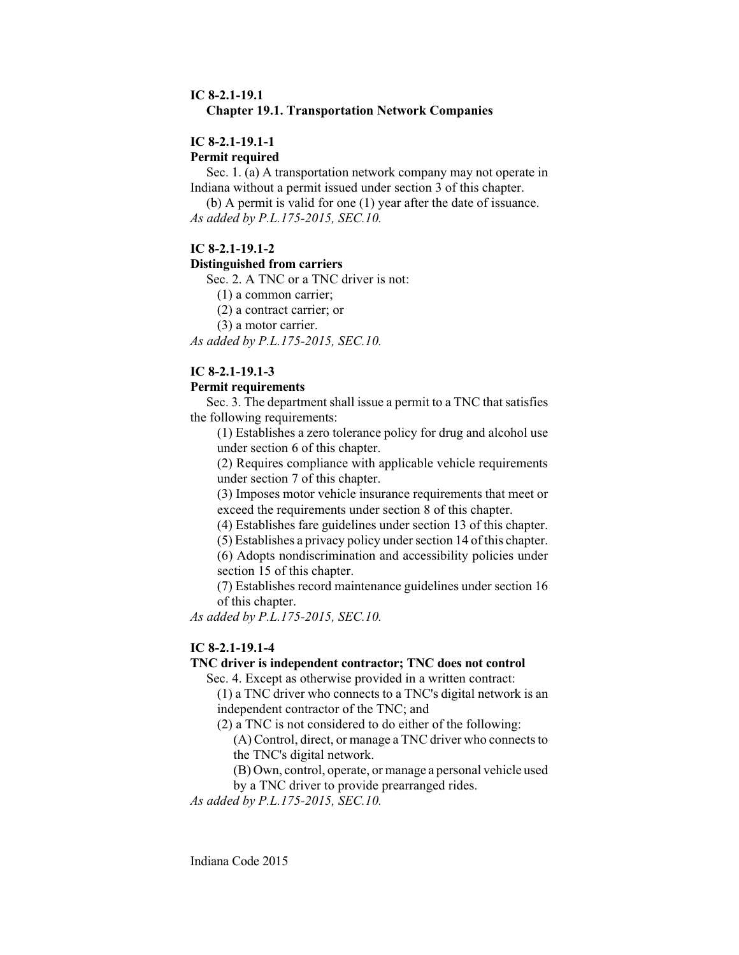### **IC 8-2.1-19.1 Chapter 19.1. Transportation Network Companies**

### **IC 8-2.1-19.1-1**

**Permit required**

Sec. 1. (a) A transportation network company may not operate in Indiana without a permit issued under section 3 of this chapter.

(b) A permit is valid for one (1) year after the date of issuance. *As added by P.L.175-2015, SEC.10.*

### **IC 8-2.1-19.1-2**

### **Distinguished from carriers**

Sec. 2. A TNC or a TNC driver is not:

(1) a common carrier;

(2) a contract carrier; or

(3) a motor carrier.

*As added by P.L.175-2015, SEC.10.*

# **IC 8-2.1-19.1-3**

### **Permit requirements**

Sec. 3. The department shall issue a permit to a TNC that satisfies the following requirements:

(1) Establishes a zero tolerance policy for drug and alcohol use under section 6 of this chapter.

(2) Requires compliance with applicable vehicle requirements under section 7 of this chapter.

(3) Imposes motor vehicle insurance requirements that meet or exceed the requirements under section 8 of this chapter.

(4) Establishes fare guidelines under section 13 of this chapter.

(5) Establishes a privacy policy under section 14 of this chapter.

(6) Adopts nondiscrimination and accessibility policies under section 15 of this chapter.

(7) Establishes record maintenance guidelines under section 16 of this chapter.

*As added by P.L.175-2015, SEC.10.*

### **IC 8-2.1-19.1-4**

# **TNC driver is independent contractor; TNC does not control**

Sec. 4. Except as otherwise provided in a written contract:

(1) a TNC driver who connects to a TNC's digital network is an independent contractor of the TNC; and

(2) a TNC is not considered to do either of the following:

(A) Control, direct, or manage a TNC driver who connects to the TNC's digital network.

(B) Own, control, operate, or manage a personal vehicle used

by a TNC driver to provide prearranged rides.

*As added by P.L.175-2015, SEC.10.*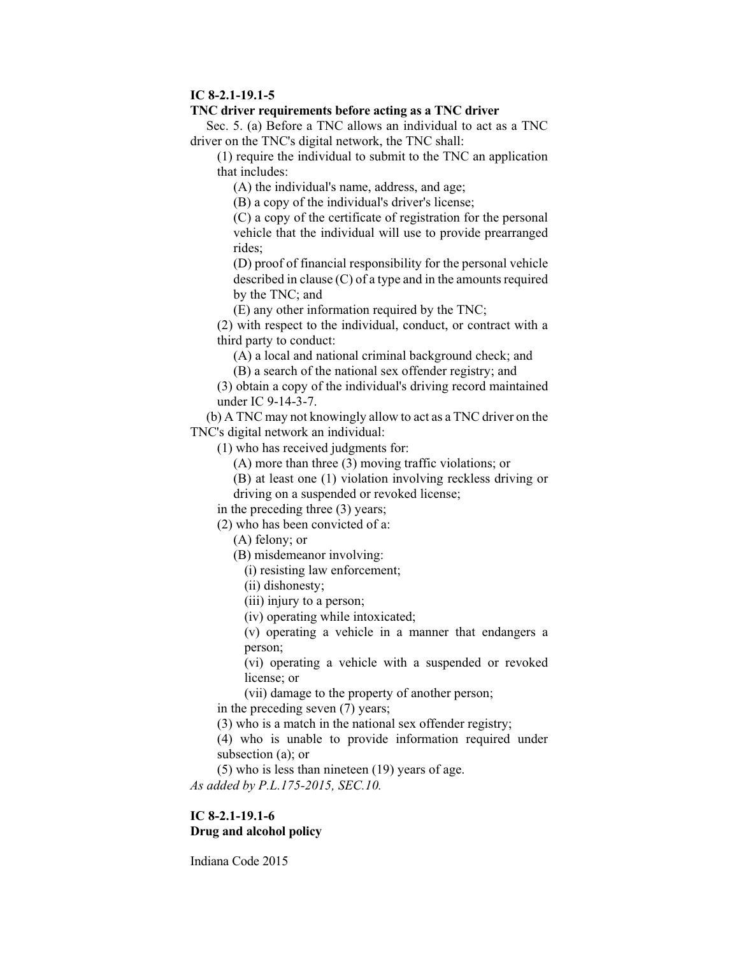#### **IC 8-2.1-19.1-5**

#### **TNC driver requirements before acting as a TNC driver**

Sec. 5. (a) Before a TNC allows an individual to act as a TNC driver on the TNC's digital network, the TNC shall:

(1) require the individual to submit to the TNC an application that includes:

(A) the individual's name, address, and age;

(B) a copy of the individual's driver's license;

(C) a copy of the certificate of registration for the personal vehicle that the individual will use to provide prearranged rides;

(D) proof of financial responsibility for the personal vehicle described in clause (C) of a type and in the amounts required by the TNC; and

(E) any other information required by the TNC;

(2) with respect to the individual, conduct, or contract with a third party to conduct:

(A) a local and national criminal background check; and

(B) a search of the national sex offender registry; and

(3) obtain a copy of the individual's driving record maintained under IC 9-14-3-7.

(b) A TNC may not knowingly allow to act as a TNC driver on the TNC's digital network an individual:

(1) who has received judgments for:

(A) more than three (3) moving traffic violations; or

(B) at least one (1) violation involving reckless driving or

driving on a suspended or revoked license;

in the preceding three (3) years;

(2) who has been convicted of a:

(A) felony; or

(B) misdemeanor involving:

(i) resisting law enforcement;

(ii) dishonesty;

(iii) injury to a person;

(iv) operating while intoxicated;

(v) operating a vehicle in a manner that endangers a person;

(vi) operating a vehicle with a suspended or revoked license; or

(vii) damage to the property of another person;

in the preceding seven (7) years;

(3) who is a match in the national sex offender registry;

(4) who is unable to provide information required under subsection (a); or

(5) who is less than nineteen (19) years of age.

*As added by P.L.175-2015, SEC.10.*

# **IC 8-2.1-19.1-6 Drug and alcohol policy**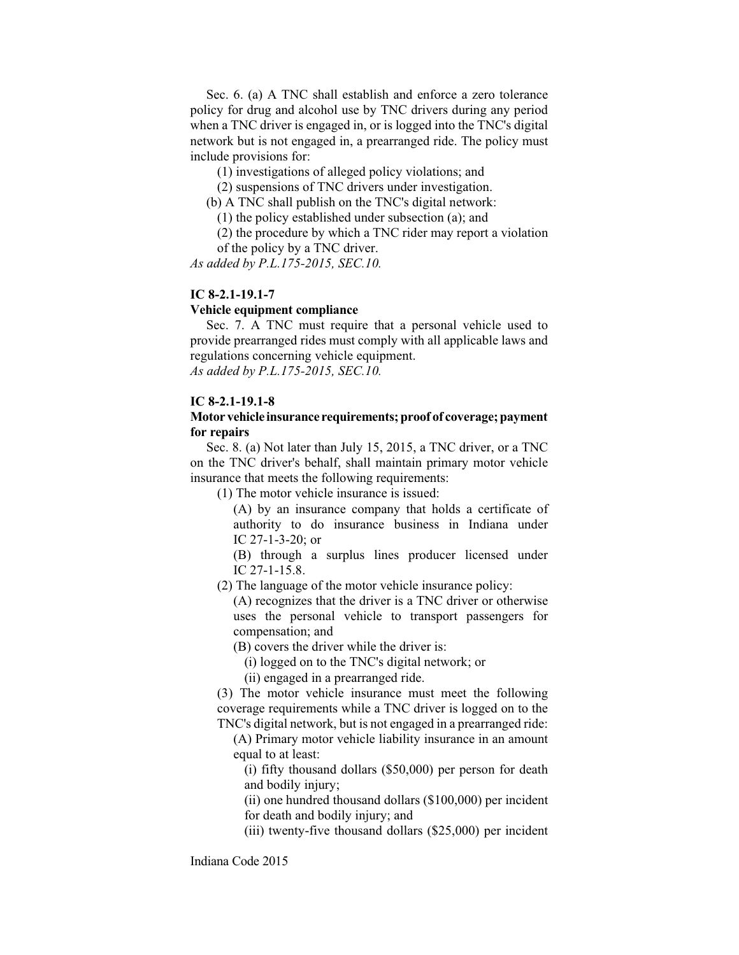Sec. 6. (a) A TNC shall establish and enforce a zero tolerance policy for drug and alcohol use by TNC drivers during any period when a TNC driver is engaged in, or is logged into the TNC's digital network but is not engaged in, a prearranged ride. The policy must include provisions for:

(1) investigations of alleged policy violations; and

(2) suspensions of TNC drivers under investigation.

(b) A TNC shall publish on the TNC's digital network:

(1) the policy established under subsection (a); and

(2) the procedure by which a TNC rider may report a violation of the policy by a TNC driver.

*As added by P.L.175-2015, SEC.10.*

### **IC 8-2.1-19.1-7**

#### **Vehicle equipment compliance**

Sec. 7. A TNC must require that a personal vehicle used to provide prearranged rides must comply with all applicable laws and regulations concerning vehicle equipment. *As added by P.L.175-2015, SEC.10.*

**IC 8-2.1-19.1-8**

### **Motor vehicle insurance requirements;proof of coverage;payment for repairs**

Sec. 8. (a) Not later than July 15, 2015, a TNC driver, or a TNC on the TNC driver's behalf, shall maintain primary motor vehicle insurance that meets the following requirements:

(1) The motor vehicle insurance is issued:

(A) by an insurance company that holds a certificate of authority to do insurance business in Indiana under IC 27-1-3-20; or

(B) through a surplus lines producer licensed under IC 27-1-15.8.

(2) The language of the motor vehicle insurance policy:

(A) recognizes that the driver is a TNC driver or otherwise uses the personal vehicle to transport passengers for compensation; and

(B) covers the driver while the driver is:

(i) logged on to the TNC's digital network; or

(ii) engaged in a prearranged ride.

(3) The motor vehicle insurance must meet the following coverage requirements while a TNC driver is logged on to the TNC's digital network, but is not engaged in a prearranged ride:

(A) Primary motor vehicle liability insurance in an amount equal to at least:

(i) fifty thousand dollars (\$50,000) per person for death and bodily injury;

(ii) one hundred thousand dollars (\$100,000) per incident for death and bodily injury; and

(iii) twenty-five thousand dollars (\$25,000) per incident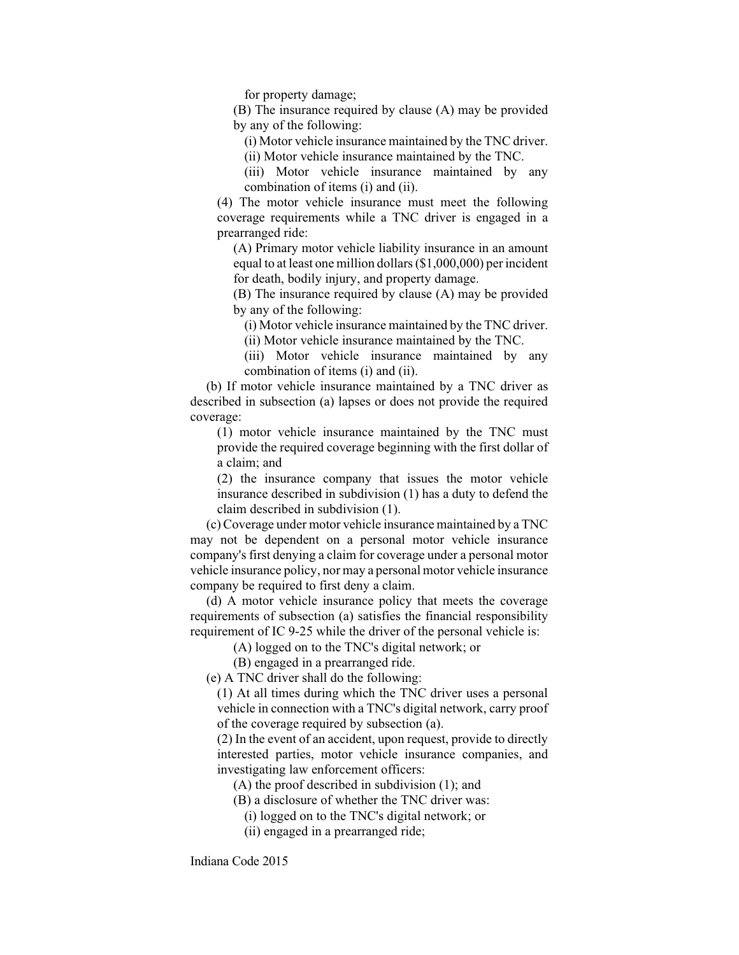for property damage;

(B) The insurance required by clause (A) may be provided by any of the following:

(i) Motor vehicle insurance maintained by the TNC driver.

(ii) Motor vehicle insurance maintained by the TNC.

(iii) Motor vehicle insurance maintained by any combination of items (i) and (ii).

(4) The motor vehicle insurance must meet the following coverage requirements while a TNC driver is engaged in a prearranged ride:

(A) Primary motor vehicle liability insurance in an amount equal to at least one million dollars (\$1,000,000) per incident for death, bodily injury, and property damage.

(B) The insurance required by clause (A) may be provided by any of the following:

(i) Motor vehicle insurance maintained by the TNC driver. (ii) Motor vehicle insurance maintained by the TNC.

(iii) Motor vehicle insurance maintained by any combination of items (i) and (ii).

(b) If motor vehicle insurance maintained by a TNC driver as described in subsection (a) lapses or does not provide the required coverage:

(1) motor vehicle insurance maintained by the TNC must provide the required coverage beginning with the first dollar of a claim; and

(2) the insurance company that issues the motor vehicle insurance described in subdivision (1) has a duty to defend the claim described in subdivision (1).

(c) Coverage under motor vehicle insurance maintained by a TNC may not be dependent on a personal motor vehicle insurance company's first denying a claim for coverage under a personal motor vehicle insurance policy, nor may a personal motor vehicle insurance company be required to first deny a claim.

(d) A motor vehicle insurance policy that meets the coverage requirements of subsection (a) satisfies the financial responsibility requirement of IC 9-25 while the driver of the personal vehicle is:

(A) logged on to the TNC's digital network; or

(B) engaged in a prearranged ride.

(e) A TNC driver shall do the following:

(1) At all times during which the TNC driver uses a personal vehicle in connection with a TNC's digital network, carry proof of the coverage required by subsection (a).

(2) In the event of an accident, upon request, provide to directly interested parties, motor vehicle insurance companies, and investigating law enforcement officers:

(A) the proof described in subdivision (1); and

(B) a disclosure of whether the TNC driver was:

(i) logged on to the TNC's digital network; or

(ii) engaged in a prearranged ride;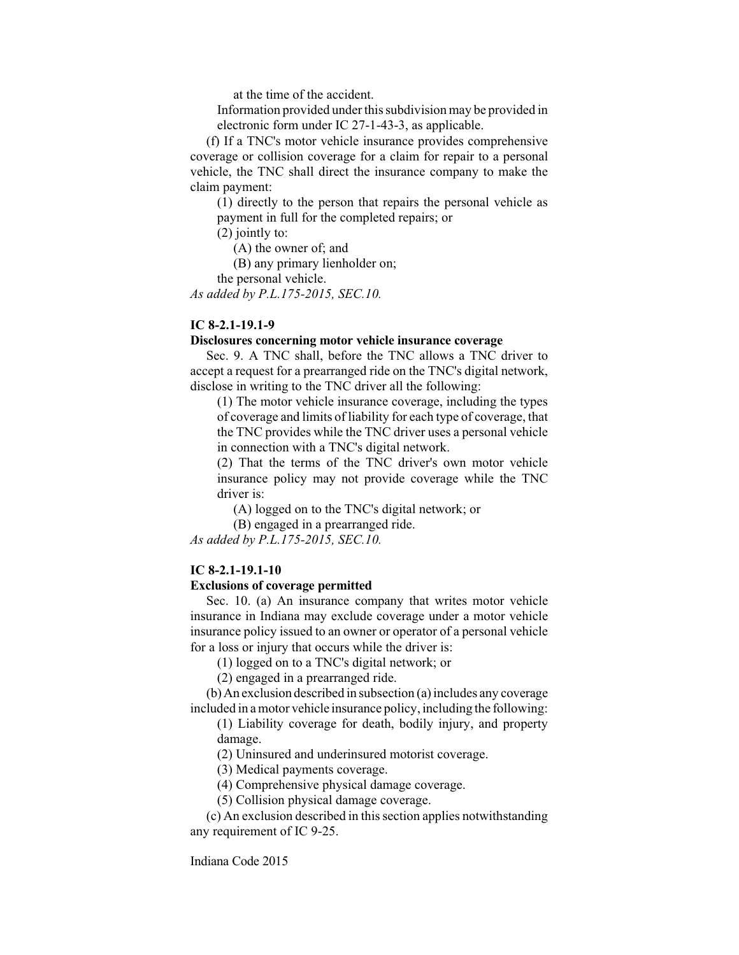at the time of the accident.

Information provided under this subdivision may be provided in electronic form under IC 27-1-43-3, as applicable.

(f) If a TNC's motor vehicle insurance provides comprehensive coverage or collision coverage for a claim for repair to a personal vehicle, the TNC shall direct the insurance company to make the claim payment:

(1) directly to the person that repairs the personal vehicle as payment in full for the completed repairs; or

(2) jointly to:

(A) the owner of; and

(B) any primary lienholder on;

the personal vehicle.

*As added by P.L.175-2015, SEC.10.*

### **IC 8-2.1-19.1-9**

#### **Disclosures concerning motor vehicle insurance coverage**

Sec. 9. A TNC shall, before the TNC allows a TNC driver to accept a request for a prearranged ride on the TNC's digital network, disclose in writing to the TNC driver all the following:

(1) The motor vehicle insurance coverage, including the types of coverage and limits of liability for each type of coverage, that the TNC provides while the TNC driver uses a personal vehicle in connection with a TNC's digital network.

(2) That the terms of the TNC driver's own motor vehicle insurance policy may not provide coverage while the TNC driver is:

(A) logged on to the TNC's digital network; or

(B) engaged in a prearranged ride.

*As added by P.L.175-2015, SEC.10.*

### **IC 8-2.1-19.1-10**

#### **Exclusions of coverage permitted**

Sec. 10. (a) An insurance company that writes motor vehicle insurance in Indiana may exclude coverage under a motor vehicle insurance policy issued to an owner or operator of a personal vehicle for a loss or injury that occurs while the driver is:

(1) logged on to a TNC's digital network; or

(2) engaged in a prearranged ride.

(b)An exclusion described in subsection (a) includes any coverage included in a motor vehicle insurance policy, including the following:

(1) Liability coverage for death, bodily injury, and property damage.

(2) Uninsured and underinsured motorist coverage.

(3) Medical payments coverage.

(4) Comprehensive physical damage coverage.

(5) Collision physical damage coverage.

(c) An exclusion described in this section applies notwithstanding any requirement of IC 9-25.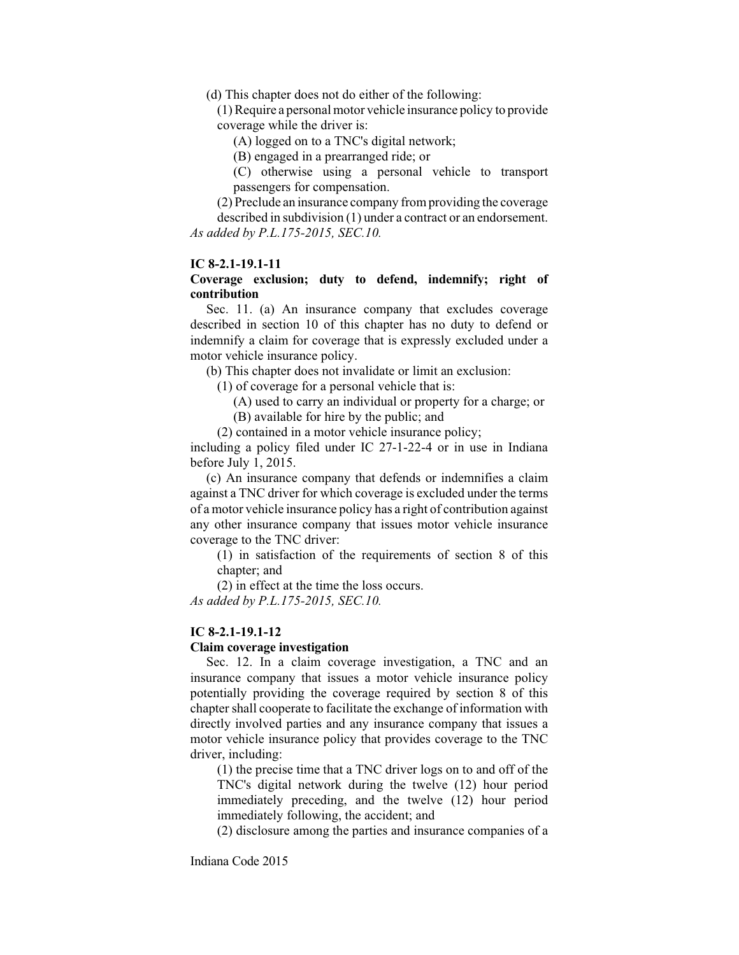(d) This chapter does not do either of the following:

(1) Require a personal motor vehicle insurance policy to provide coverage while the driver is:

(A) logged on to a TNC's digital network;

(B) engaged in a prearranged ride; or

(C) otherwise using a personal vehicle to transport passengers for compensation.

(2) Preclude an insurance company from providing the coverage described in subdivision (1) under a contract or an endorsement. *As added by P.L.175-2015, SEC.10.*

#### **IC 8-2.1-19.1-11**

## **Coverage exclusion; duty to defend, indemnify; right of contribution**

Sec. 11. (a) An insurance company that excludes coverage described in section 10 of this chapter has no duty to defend or indemnify a claim for coverage that is expressly excluded under a motor vehicle insurance policy.

(b) This chapter does not invalidate or limit an exclusion:

(1) of coverage for a personal vehicle that is:

- (A) used to carry an individual or property for a charge; or
- (B) available for hire by the public; and

(2) contained in a motor vehicle insurance policy;

including a policy filed under IC 27-1-22-4 or in use in Indiana before July 1, 2015.

(c) An insurance company that defends or indemnifies a claim against a TNC driver for which coverage is excluded under the terms of a motor vehicle insurance policy has a right of contribution against any other insurance company that issues motor vehicle insurance coverage to the TNC driver:

(1) in satisfaction of the requirements of section 8 of this chapter; and

(2) in effect at the time the loss occurs.

*As added by P.L.175-2015, SEC.10.*

#### **IC 8-2.1-19.1-12**

#### **Claim coverage investigation**

Sec. 12. In a claim coverage investigation, a TNC and an insurance company that issues a motor vehicle insurance policy potentially providing the coverage required by section 8 of this chapter shall cooperate to facilitate the exchange of information with directly involved parties and any insurance company that issues a motor vehicle insurance policy that provides coverage to the TNC driver, including:

(1) the precise time that a TNC driver logs on to and off of the TNC's digital network during the twelve (12) hour period immediately preceding, and the twelve (12) hour period immediately following, the accident; and

(2) disclosure among the parties and insurance companies of a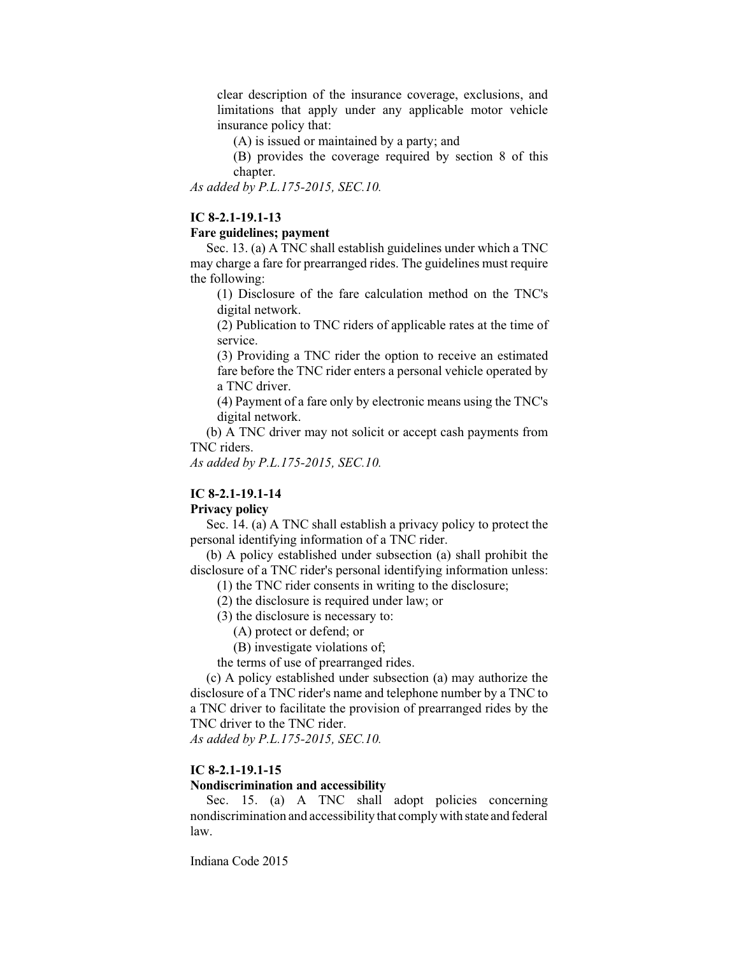clear description of the insurance coverage, exclusions, and limitations that apply under any applicable motor vehicle insurance policy that:

(A) is issued or maintained by a party; and

(B) provides the coverage required by section 8 of this chapter.

*As added by P.L.175-2015, SEC.10.*

# **IC 8-2.1-19.1-13**

### **Fare guidelines; payment**

Sec. 13. (a) A TNC shall establish guidelines under which a TNC may charge a fare for prearranged rides. The guidelines must require the following:

(1) Disclosure of the fare calculation method on the TNC's digital network.

(2) Publication to TNC riders of applicable rates at the time of service.

(3) Providing a TNC rider the option to receive an estimated fare before the TNC rider enters a personal vehicle operated by a TNC driver.

(4) Payment of a fare only by electronic means using the TNC's digital network.

(b) A TNC driver may not solicit or accept cash payments from TNC riders.

*As added by P.L.175-2015, SEC.10.*

# **IC 8-2.1-19.1-14**

# **Privacy policy**

Sec. 14. (a) A TNC shall establish a privacy policy to protect the personal identifying information of a TNC rider.

(b) A policy established under subsection (a) shall prohibit the disclosure of a TNC rider's personal identifying information unless:

(1) the TNC rider consents in writing to the disclosure;

(2) the disclosure is required under law; or

(3) the disclosure is necessary to:

(A) protect or defend; or

(B) investigate violations of;

the terms of use of prearranged rides.

(c) A policy established under subsection (a) may authorize the disclosure of a TNC rider's name and telephone number by a TNC to a TNC driver to facilitate the provision of prearranged rides by the TNC driver to the TNC rider.

*As added by P.L.175-2015, SEC.10.*

### **IC 8-2.1-19.1-15**

## **Nondiscrimination and accessibility**

Sec. 15. (a) A TNC shall adopt policies concerning nondiscrimination and accessibility that comply with state and federal law.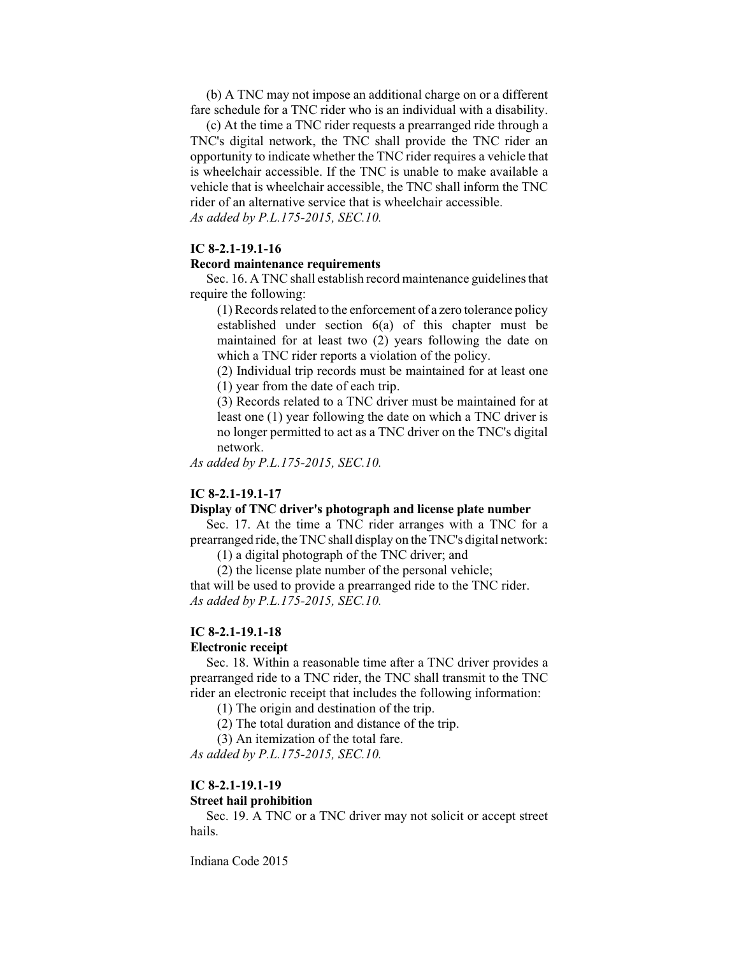(b) A TNC may not impose an additional charge on or a different fare schedule for a TNC rider who is an individual with a disability.

(c) At the time a TNC rider requests a prearranged ride through a TNC's digital network, the TNC shall provide the TNC rider an opportunity to indicate whether the TNC rider requires a vehicle that is wheelchair accessible. If the TNC is unable to make available a vehicle that is wheelchair accessible, the TNC shall inform the TNC rider of an alternative service that is wheelchair accessible. *As added by P.L.175-2015, SEC.10.*

**IC 8-2.1-19.1-16**

#### **Record maintenance requirements**

Sec. 16. A TNC shall establish record maintenance guidelines that require the following:

(1) Records related to the enforcement of a zero tolerance policy established under section 6(a) of this chapter must be maintained for at least two (2) years following the date on which a TNC rider reports a violation of the policy.

(2) Individual trip records must be maintained for at least one (1) year from the date of each trip.

(3) Records related to a TNC driver must be maintained for at least one (1) year following the date on which a TNC driver is no longer permitted to act as a TNC driver on the TNC's digital network.

*As added by P.L.175-2015, SEC.10.*

#### **IC 8-2.1-19.1-17**

#### **Display of TNC driver's photograph and license plate number**

Sec. 17. At the time a TNC rider arranges with a TNC for a prearranged ride, the TNC shall display on the TNC's digital network:

(1) a digital photograph of the TNC driver; and

(2) the license plate number of the personal vehicle; that will be used to provide a prearranged ride to the TNC rider.

*As added by P.L.175-2015, SEC.10.*

### **IC 8-2.1-19.1-18**

#### **Electronic receipt**

Sec. 18. Within a reasonable time after a TNC driver provides a prearranged ride to a TNC rider, the TNC shall transmit to the TNC rider an electronic receipt that includes the following information:

(1) The origin and destination of the trip.

(2) The total duration and distance of the trip.

(3) An itemization of the total fare.

*As added by P.L.175-2015, SEC.10.*

#### **IC 8-2.1-19.1-19**

#### **Street hail prohibition**

Sec. 19. A TNC or a TNC driver may not solicit or accept street hails.